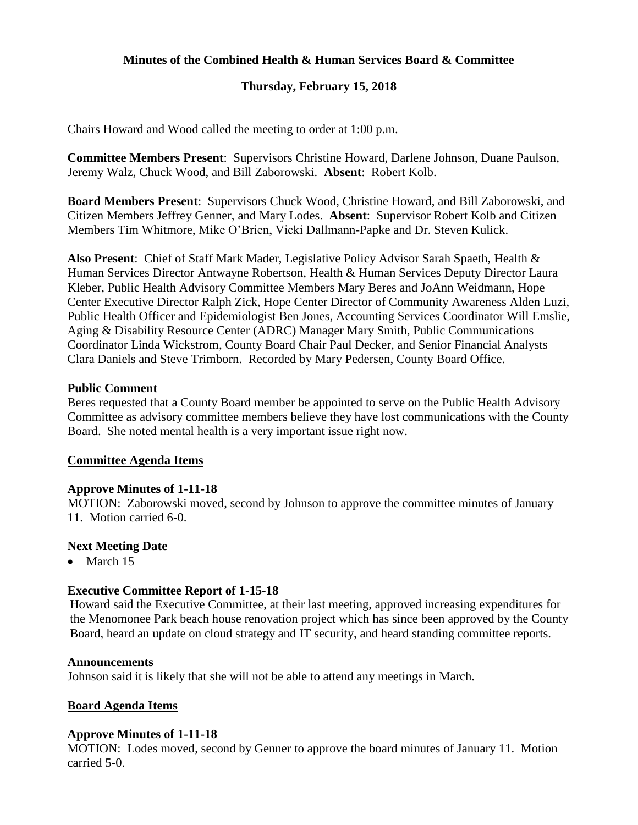## **Minutes of the Combined Health & Human Services Board & Committee**

## **Thursday, February 15, 2018**

Chairs Howard and Wood called the meeting to order at 1:00 p.m.

**Committee Members Present**: Supervisors Christine Howard, Darlene Johnson, Duane Paulson, Jeremy Walz, Chuck Wood, and Bill Zaborowski. **Absent**: Robert Kolb.

**Board Members Present**: Supervisors Chuck Wood, Christine Howard, and Bill Zaborowski, and Citizen Members Jeffrey Genner, and Mary Lodes. **Absent**: Supervisor Robert Kolb and Citizen Members Tim Whitmore, Mike O'Brien, Vicki Dallmann-Papke and Dr. Steven Kulick.

**Also Present**: Chief of Staff Mark Mader, Legislative Policy Advisor Sarah Spaeth, Health & Human Services Director Antwayne Robertson, Health & Human Services Deputy Director Laura Kleber, Public Health Advisory Committee Members Mary Beres and JoAnn Weidmann, Hope Center Executive Director Ralph Zick, Hope Center Director of Community Awareness Alden Luzi, Public Health Officer and Epidemiologist Ben Jones, Accounting Services Coordinator Will Emslie, Aging & Disability Resource Center (ADRC) Manager Mary Smith, Public Communications Coordinator Linda Wickstrom, County Board Chair Paul Decker, and Senior Financial Analysts Clara Daniels and Steve Trimborn. Recorded by Mary Pedersen, County Board Office.

#### **Public Comment**

Beres requested that a County Board member be appointed to serve on the Public Health Advisory Committee as advisory committee members believe they have lost communications with the County Board. She noted mental health is a very important issue right now.

#### **Committee Agenda Items**

#### **Approve Minutes of 1-11-18**

MOTION: Zaborowski moved, second by Johnson to approve the committee minutes of January 11. Motion carried 6-0.

#### **Next Meeting Date**

• March 15

#### **Executive Committee Report of 1-15-18**

Howard said the Executive Committee, at their last meeting, approved increasing expenditures for the Menomonee Park beach house renovation project which has since been approved by the County Board, heard an update on cloud strategy and IT security, and heard standing committee reports.

#### **Announcements**

Johnson said it is likely that she will not be able to attend any meetings in March.

#### **Board Agenda Items**

#### **Approve Minutes of 1-11-18**

MOTION: Lodes moved, second by Genner to approve the board minutes of January 11. Motion carried 5-0.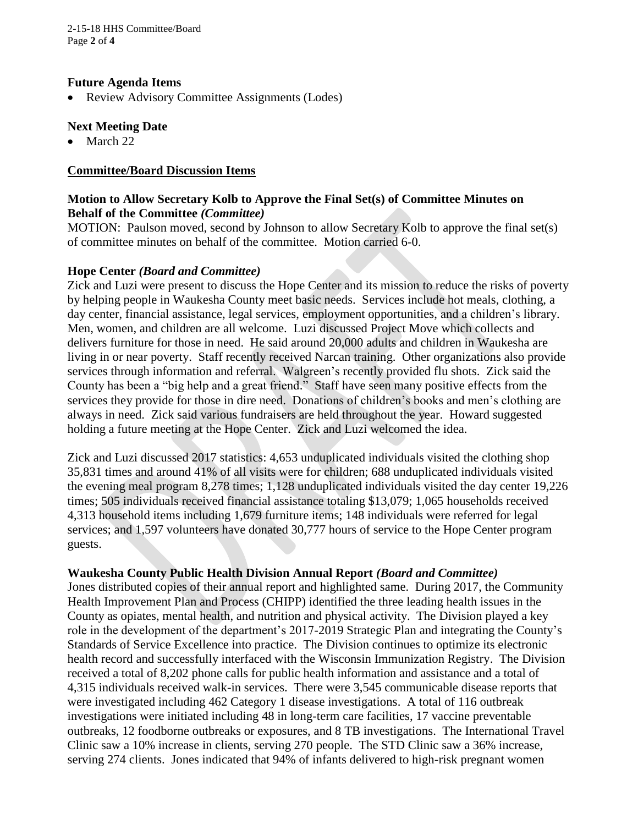2-15-18 HHS Committee/Board Page **2** of **4**

#### **Future Agenda Items**

• Review Advisory Committee Assignments (Lodes)

### **Next Meeting Date**

 $\bullet$  March 22

### **Committee/Board Discussion Items**

## **Motion to Allow Secretary Kolb to Approve the Final Set(s) of Committee Minutes on Behalf of the Committee** *(Committee)*

MOTION: Paulson moved, second by Johnson to allow Secretary Kolb to approve the final set(s) of committee minutes on behalf of the committee. Motion carried 6-0.

#### **Hope Center** *(Board and Committee)*

Zick and Luzi were present to discuss the Hope Center and its mission to reduce the risks of poverty by helping people in Waukesha County meet basic needs. Services include hot meals, clothing, a day center, financial assistance, legal services, employment opportunities, and a children's library. Men, women, and children are all welcome. Luzi discussed Project Move which collects and delivers furniture for those in need. He said around 20,000 adults and children in Waukesha are living in or near poverty. Staff recently received Narcan training. Other organizations also provide services through information and referral. Walgreen's recently provided flu shots. Zick said the County has been a "big help and a great friend." Staff have seen many positive effects from the services they provide for those in dire need. Donations of children's books and men's clothing are always in need. Zick said various fundraisers are held throughout the year. Howard suggested holding a future meeting at the Hope Center. Zick and Luzi welcomed the idea.

Zick and Luzi discussed 2017 statistics: 4,653 unduplicated individuals visited the clothing shop 35,831 times and around 41% of all visits were for children; 688 unduplicated individuals visited the evening meal program 8,278 times; 1,128 unduplicated individuals visited the day center 19,226 times; 505 individuals received financial assistance totaling \$13,079; 1,065 households received 4,313 household items including 1,679 furniture items; 148 individuals were referred for legal services; and 1,597 volunteers have donated 30,777 hours of service to the Hope Center program guests.

## **Waukesha County Public Health Division Annual Report** *(Board and Committee)*

Jones distributed copies of their annual report and highlighted same. During 2017, the Community Health Improvement Plan and Process (CHIPP) identified the three leading health issues in the County as opiates, mental health, and nutrition and physical activity. The Division played a key role in the development of the department's 2017-2019 Strategic Plan and integrating the County's Standards of Service Excellence into practice. The Division continues to optimize its electronic health record and successfully interfaced with the Wisconsin Immunization Registry. The Division received a total of 8,202 phone calls for public health information and assistance and a total of 4,315 individuals received walk-in services. There were 3,545 communicable disease reports that were investigated including 462 Category 1 disease investigations. A total of 116 outbreak investigations were initiated including 48 in long-term care facilities, 17 vaccine preventable outbreaks, 12 foodborne outbreaks or exposures, and 8 TB investigations. The International Travel Clinic saw a 10% increase in clients, serving 270 people. The STD Clinic saw a 36% increase, serving 274 clients. Jones indicated that 94% of infants delivered to high-risk pregnant women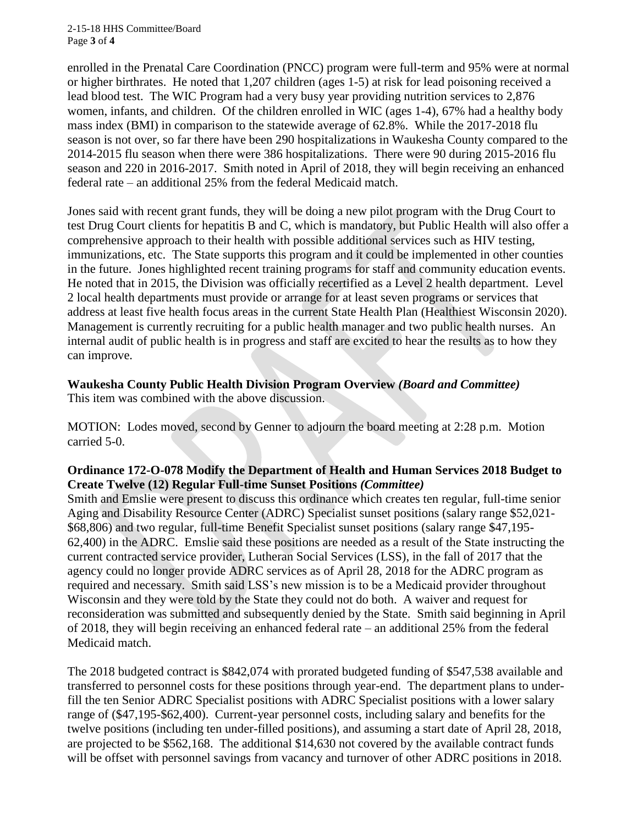2-15-18 HHS Committee/Board Page **3** of **4**

enrolled in the Prenatal Care Coordination (PNCC) program were full-term and 95% were at normal or higher birthrates. He noted that 1,207 children (ages 1-5) at risk for lead poisoning received a lead blood test. The WIC Program had a very busy year providing nutrition services to 2,876 women, infants, and children. Of the children enrolled in WIC (ages 1-4), 67% had a healthy body mass index (BMI) in comparison to the statewide average of 62.8%. While the 2017-2018 flu season is not over, so far there have been 290 hospitalizations in Waukesha County compared to the 2014-2015 flu season when there were 386 hospitalizations. There were 90 during 2015-2016 flu season and 220 in 2016-2017. Smith noted in April of 2018, they will begin receiving an enhanced federal rate – an additional 25% from the federal Medicaid match.

Jones said with recent grant funds, they will be doing a new pilot program with the Drug Court to test Drug Court clients for hepatitis B and C, which is mandatory, but Public Health will also offer a comprehensive approach to their health with possible additional services such as HIV testing, immunizations, etc. The State supports this program and it could be implemented in other counties in the future. Jones highlighted recent training programs for staff and community education events. He noted that in 2015, the Division was officially recertified as a Level 2 health department. Level 2 local health departments must provide or arrange for at least seven programs or services that address at least five health focus areas in the current State Health Plan (Healthiest Wisconsin 2020). Management is currently recruiting for a public health manager and two public health nurses. An internal audit of public health is in progress and staff are excited to hear the results as to how they can improve.

# **Waukesha County Public Health Division Program Overview** *(Board and Committee)*

This item was combined with the above discussion.

MOTION: Lodes moved, second by Genner to adjourn the board meeting at 2:28 p.m. Motion carried 5-0.

## **Ordinance 172-O-078 Modify the Department of Health and Human Services 2018 Budget to Create Twelve (12) Regular Full-time Sunset Positions** *(Committee)*

Smith and Emslie were present to discuss this ordinance which creates ten regular, full-time senior Aging and Disability Resource Center (ADRC) Specialist sunset positions (salary range \$52,021- \$68,806) and two regular, full-time Benefit Specialist sunset positions (salary range \$47,195- 62,400) in the ADRC. Emslie said these positions are needed as a result of the State instructing the current contracted service provider, Lutheran Social Services (LSS), in the fall of 2017 that the agency could no longer provide ADRC services as of April 28, 2018 for the ADRC program as required and necessary. Smith said LSS's new mission is to be a Medicaid provider throughout Wisconsin and they were told by the State they could not do both. A waiver and request for reconsideration was submitted and subsequently denied by the State. Smith said beginning in April of 2018, they will begin receiving an enhanced federal rate – an additional 25% from the federal Medicaid match.

The 2018 budgeted contract is \$842,074 with prorated budgeted funding of \$547,538 available and transferred to personnel costs for these positions through year-end. The department plans to underfill the ten Senior ADRC Specialist positions with ADRC Specialist positions with a lower salary range of (\$47,195-\$62,400). Current-year personnel costs, including salary and benefits for the twelve positions (including ten under-filled positions), and assuming a start date of April 28, 2018, are projected to be \$562,168. The additional \$14,630 not covered by the available contract funds will be offset with personnel savings from vacancy and turnover of other ADRC positions in 2018.